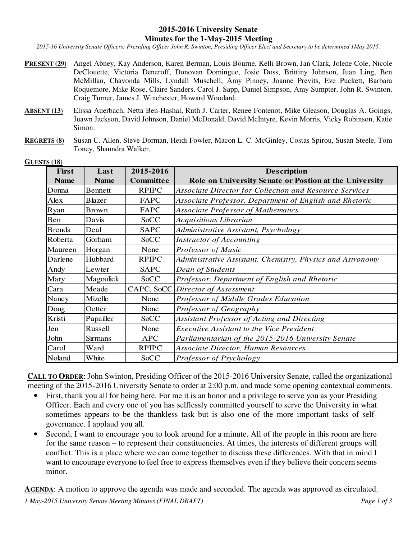## **2015-2016 University Senate Minutes for the 1-May-2015 Meeting**

*2015-16 University Senate Officers: Presiding Officer John R. Swinton, Presiding Officer Elect and Secretary to be determined 1May 2015.* 

- **PRESENT (29)** Angel Abney, Kay Anderson, Karen Berman, Louis Bourne, Kelli Brown, Jan Clark, Jolene Cole, Nicole DeClouette, Victoria Deneroff, Donovan Domingue, Josie Doss, Brittiny Johnson, Juan Ling, Ben McMillan, Chavonda Mills, Lyndall Muschell, Amy Pinney, Joanne Previts, Eve Puckett, Barbara Roquemore, Mike Rose, Claire Sanders, Carol J. Sapp, Daniel Simpson, Amy Sumpter, John R. Swinton, Craig Turner, James J. Winchester, Howard Woodard.
- **ABSENT (13)** Elissa Auerbach, Netta Ben-Hashal, Ruth J. Carter, Renee Fontenot, Mike Gleason, Douglas A. Goings, Juawn Jackson, David Johnson, Daniel McDonald, David McIntyre, Kevin Morris, Vicky Robinson, Katie Simon.
- **REGRETS (8)** Susan C. Allen, Steve Dorman, Heidi Fowler, Macon L. C. McGinley, Costas Spirou, Susan Steele, Tom Toney, Shaundra Walker.

| <b>First</b> | Last           | 2015-2016        | <b>Description</b>                                         |
|--------------|----------------|------------------|------------------------------------------------------------|
| <b>Name</b>  | <b>Name</b>    | <b>Committee</b> | Role on University Senate or Postion at the University     |
| Donna        | <b>Bennett</b> | <b>RPIPC</b>     | Associate Director for Collection and Resource Services    |
| Alex         | <b>Blazer</b>  | <b>FAPC</b>      | Associate Professor, Department of English and Rhetoric    |
| Ryan         | <b>Brown</b>   | FAPC             | Associate Professor of Mathematics                         |
| Ben          | Davis          | <b>SoCC</b>      | <b>Acquisitions Librarian</b>                              |
| Brenda       | Deal           | <b>SAPC</b>      | Administrative Assistant, Psychology                       |
| Roberta      | Gorham         | <b>SoCC</b>      | Instructor of Accounting                                   |
| Maureen      | Horgan         | None             | Professor of Music                                         |
| Darlene      | Hubbard        | <b>RPIPC</b>     | Administrative Assistant, Chemistry, Physics and Astronomy |
| Andy         | Lewter         | <b>SAPC</b>      | Dean of Students                                           |
| Mary         | Magoulick      | <b>SoCC</b>      | Professor, Department of English and Rhetoric              |
| Cara         | Meade          | CAPC, SoCC       | Director of Assessment                                     |
| Nancy        | Mizelle        | None             | Professor of Middle Grades Education                       |
| Doug         | Oetter         | None             | Professor of Geography                                     |
| Kristi       | Papailler      | SoCC             | Assistant Professor of Acting and Directing                |
| Jen          | Russell        | None             | <b>Executive Assistant to the Vice President</b>           |
| John         | <b>Sirmans</b> | <b>APC</b>       | Parliamentarian of the 2015-2016 University Senate         |
| Carol        | Ward           | <b>RPIPC</b>     | Associate Director, Human Resources                        |
| Noland       | White          | <b>SoCC</b>      | Professor of Psychology                                    |

**GUESTS (18)**

**CALL TO ORDER**: John Swinton, Presiding Officer of the 2015-2016 University Senate, called the organizational meeting of the 2015-2016 University Senate to order at 2:00 p.m. and made some opening contextual comments.

- First, thank you all for being here. For me it is an honor and a privilege to serve you as your Presiding Officer. Each and every one of you has selflessly committed yourself to serve the University in what sometimes appears to be the thankless task but is also one of the more important tasks of selfgovernance. I applaud you all.
- Second, I want to encourage you to look around for a minute. All of the people in this room are here for the same reason – to represent their constituencies. At times, the interests of different groups will conflict. This is a place where we can come together to discuss these differences. With that in mind I want to encourage everyone to feel free to express themselves even if they believe their concern seems minor.

**AGENDA**: A motion to approve the agenda was made and seconded. The agenda was approved as circulated.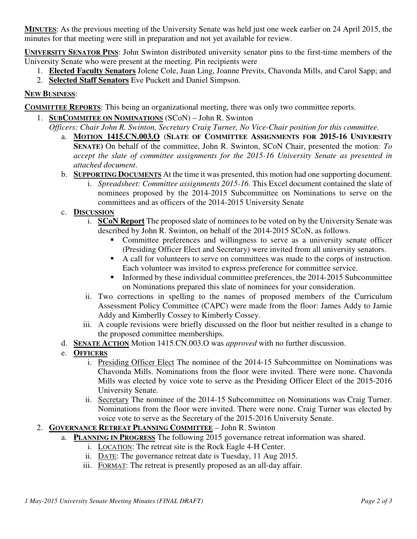**MINUTES**: As the previous meeting of the University Senate was held just one week earlier on 24 April 2015, the minutes for that meeting were still in preparation and not yet available for review.

**UNIVERSITY SENATOR PINS**: John Swinton distributed university senator pins to the first-time members of the University Senate who were present at the meeting. Pin recipients were

- 1. **Elected Faculty Senators** Jolene Cole, Juan Ling, Joanne Previts, Chavonda Mills, and Carol Sapp; and
- 2. **Selected Staff Senators** Eve Puckett and Daniel Simpson.

## **NEW BUSINESS**:

**COMMITTEE REPORTS**: This being an organizational meeting, there was only two committee reports.

1. **SUBCOMMITEE ON NOMINATIONS** (SCoN) – John R. Swinton

*Officers: Chair John R. Swinton, Secretary Craig Turner, No Vice-Chair position for this committee.*

- a. **MOTION 1415.CN.003.O** (**SLATE OF COMMITTEE ASSIGNMENTS FOR 2015-16 UNIVERSITY SENATE)** On behalf of the committee, John R. Swinton, SCoN Chair, presented the motion*: To accept the slate of committee assignments for the 2015-16 University Senate as presented in attached document*.
- b. **SUPPORTING DOCUMENTS** At the time it was presented, this motion had one supporting document.
	- i. *Spreadsheet: Committee assignments 2015-16*. This Excel document contained the slate of nominees proposed by the 2014-2015 Subcommittee on Nominations to serve on the committees and as officers of the 2014-2015 University Senate
- c. **DISCUSSION**
	- i. **SCoN Report** The proposed slate of nominees to be voted on by the University Senate was described by John R. Swinton, on behalf of the 2014-2015 SCoN, as follows.
		- Committee preferences and willingness to serve as a university senate officer (Presiding Officer Elect and Secretary) were invited from all university senators.
		- A call for volunteers to serve on committees was made to the corps of instruction. Each volunteer was invited to express preference for committee service.
		- Informed by these individual committee preferences, the 2014-2015 Subcommittee on Nominations prepared this slate of nominees for your consideration.
	- ii. Two corrections in spelling to the names of proposed members of the Curriculum Assessment Policy Committee (CAPC) were made from the floor: James Addy to Jamie Addy and Kimberlly Cossey to Kimberly Cossey.
	- iii. A couple revisions were briefly discussed on the floor but neither resulted in a change to the proposed committee memberships.
- d. **SENATE ACTION** Motion 1415.CN.003.O was *approved* with no further discussion.
- e. **OFFICERS**
	- i. Presiding Officer Elect The nominee of the 2014-15 Subcommittee on Nominations was Chavonda Mills. Nominations from the floor were invited. There were none. Chavonda Mills was elected by voice vote to serve as the Presiding Officer Elect of the 2015-2016 University Senate.
	- ii. Secretary The nominee of the 2014-15 Subcommittee on Nominations was Craig Turner. Nominations from the floor were invited. There were none. Craig Turner was elected by voice vote to serve as the Secretary of the 2015-2016 University Senate.
- 2. **GOVERNANCE RETREAT PLANNING COMMITTEE** John R. Swinton
	- a. **PLANNING IN PROGRESS** The following 2015 governance retreat information was shared.
		- i. LOCATION: The retreat site is the Rock Eagle 4-H Center.
		- ii. DATE: The governance retreat date is Tuesday, 11 Aug 2015.
		- iii. FORMAT: The retreat is presently proposed as an all-day affair.